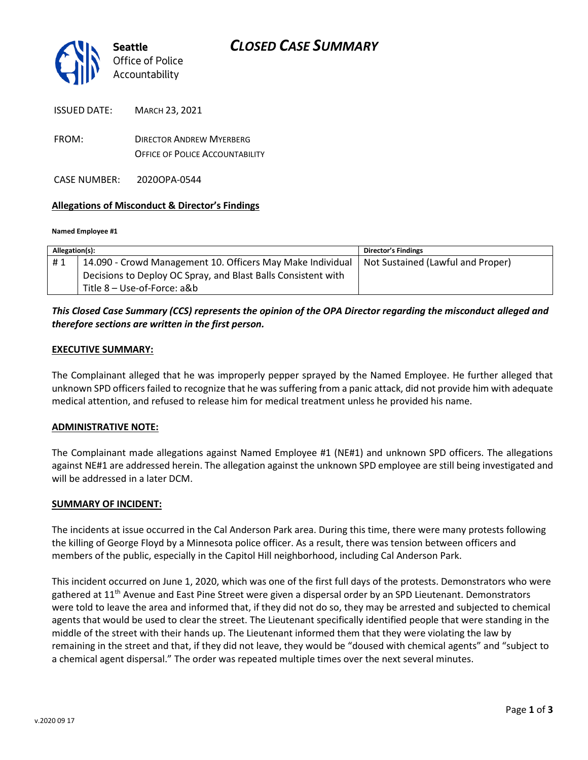

| <b>ISSUED DATE:</b> | MARCH 23, 2021 |
|---------------------|----------------|
|                     |                |

FROM: DIRECTOR ANDREW MYERBERG OFFICE OF POLICE ACCOUNTABILITY

CASE NUMBER: 2020OPA-0544

## **Allegations of Misconduct & Director's Findings**

#### **Named Employee #1**

| Allegation(s): |                                                               | <b>Director's Findings</b>        |
|----------------|---------------------------------------------------------------|-----------------------------------|
| #1             | 14.090 - Crowd Management 10. Officers May Make Individual    | Not Sustained (Lawful and Proper) |
|                | Decisions to Deploy OC Spray, and Blast Balls Consistent with |                                   |
|                | Title 8 – Use-of-Force: a&b                                   |                                   |

## *This Closed Case Summary (CCS) represents the opinion of the OPA Director regarding the misconduct alleged and therefore sections are written in the first person.*

#### **EXECUTIVE SUMMARY:**

The Complainant alleged that he was improperly pepper sprayed by the Named Employee. He further alleged that unknown SPD officers failed to recognize that he was suffering from a panic attack, did not provide him with adequate medical attention, and refused to release him for medical treatment unless he provided his name.

## **ADMINISTRATIVE NOTE:**

The Complainant made allegations against Named Employee #1 (NE#1) and unknown SPD officers. The allegations against NE#1 are addressed herein. The allegation against the unknown SPD employee are still being investigated and will be addressed in a later DCM.

#### **SUMMARY OF INCIDENT:**

The incidents at issue occurred in the Cal Anderson Park area. During this time, there were many protests following the killing of George Floyd by a Minnesota police officer. As a result, there was tension between officers and members of the public, especially in the Capitol Hill neighborhood, including Cal Anderson Park.

This incident occurred on June 1, 2020, which was one of the first full days of the protests. Demonstrators who were gathered at 11<sup>th</sup> Avenue and East Pine Street were given a dispersal order by an SPD Lieutenant. Demonstrators were told to leave the area and informed that, if they did not do so, they may be arrested and subjected to chemical agents that would be used to clear the street. The Lieutenant specifically identified people that were standing in the middle of the street with their hands up. The Lieutenant informed them that they were violating the law by remaining in the street and that, if they did not leave, they would be "doused with chemical agents" and "subject to a chemical agent dispersal." The order was repeated multiple times over the next several minutes.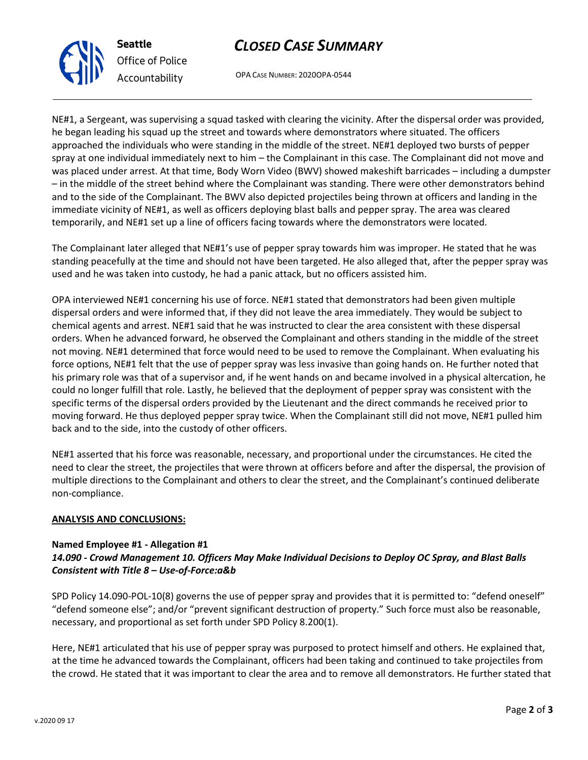## *CLOSED CASE SUMMARY*

OPA CASE NUMBER: 2020OPA-0544

NE#1, a Sergeant, was supervising a squad tasked with clearing the vicinity. After the dispersal order was provided, he began leading his squad up the street and towards where demonstrators where situated. The officers approached the individuals who were standing in the middle of the street. NE#1 deployed two bursts of pepper spray at one individual immediately next to him – the Complainant in this case. The Complainant did not move and was placed under arrest. At that time, Body Worn Video (BWV) showed makeshift barricades – including a dumpster – in the middle of the street behind where the Complainant was standing. There were other demonstrators behind and to the side of the Complainant. The BWV also depicted projectiles being thrown at officers and landing in the immediate vicinity of NE#1, as well as officers deploying blast balls and pepper spray. The area was cleared temporarily, and NE#1 set up a line of officers facing towards where the demonstrators were located.

The Complainant later alleged that NE#1's use of pepper spray towards him was improper. He stated that he was standing peacefully at the time and should not have been targeted. He also alleged that, after the pepper spray was used and he was taken into custody, he had a panic attack, but no officers assisted him.

OPA interviewed NE#1 concerning his use of force. NE#1 stated that demonstrators had been given multiple dispersal orders and were informed that, if they did not leave the area immediately. They would be subject to chemical agents and arrest. NE#1 said that he was instructed to clear the area consistent with these dispersal orders. When he advanced forward, he observed the Complainant and others standing in the middle of the street not moving. NE#1 determined that force would need to be used to remove the Complainant. When evaluating his force options, NE#1 felt that the use of pepper spray was less invasive than going hands on. He further noted that his primary role was that of a supervisor and, if he went hands on and became involved in a physical altercation, he could no longer fulfill that role. Lastly, he believed that the deployment of pepper spray was consistent with the specific terms of the dispersal orders provided by the Lieutenant and the direct commands he received prior to moving forward. He thus deployed pepper spray twice. When the Complainant still did not move, NE#1 pulled him back and to the side, into the custody of other officers.

NE#1 asserted that his force was reasonable, necessary, and proportional under the circumstances. He cited the need to clear the street, the projectiles that were thrown at officers before and after the dispersal, the provision of multiple directions to the Complainant and others to clear the street, and the Complainant's continued deliberate non-compliance.

## **ANALYSIS AND CONCLUSIONS:**

## **Named Employee #1 - Allegation #1** *14.090 - Crowd Management 10. Officers May Make Individual Decisions to Deploy OC Spray, and Blast Balls*

*Consistent with Title 8 – Use-of-Force:a&b*

SPD Policy 14.090-POL-10(8) governs the use of pepper spray and provides that it is permitted to: "defend oneself" "defend someone else"; and/or "prevent significant destruction of property." Such force must also be reasonable, necessary, and proportional as set forth under SPD Policy 8.200(1).

Here, NE#1 articulated that his use of pepper spray was purposed to protect himself and others. He explained that, at the time he advanced towards the Complainant, officers had been taking and continued to take projectiles from the crowd. He stated that it was important to clear the area and to remove all demonstrators. He further stated that



**Seattle** *Office of Police Accountability*